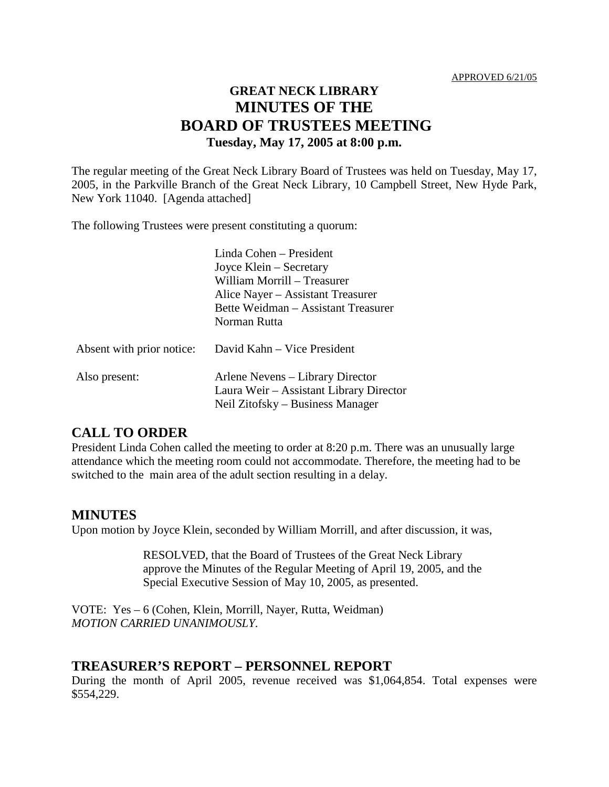# **GREAT NECK LIBRARY MINUTES OF THE BOARD OF TRUSTEES MEETING Tuesday, May 17, 2005 at 8:00 p.m.**

The regular meeting of the Great Neck Library Board of Trustees was held on Tuesday, May 17, 2005, in the Parkville Branch of the Great Neck Library, 10 Campbell Street, New Hyde Park, New York 11040. [Agenda attached]

The following Trustees were present constituting a quorum:

|                           | Linda Cohen – President<br>Joyce Klein – Secretary<br>William Morrill - Treasurer<br>Alice Nayer – Assistant Treasurer<br>Bette Weidman - Assistant Treasurer<br>Norman Rutta |
|---------------------------|-------------------------------------------------------------------------------------------------------------------------------------------------------------------------------|
| Absent with prior notice: | David Kahn - Vice President                                                                                                                                                   |
| Also present:             | Arlene Nevens – Library Director<br>Laura Weir – Assistant Library Director<br>Neil Zitofsky – Business Manager                                                               |

# **CALL TO ORDER**

President Linda Cohen called the meeting to order at 8:20 p.m. There was an unusually large attendance which the meeting room could not accommodate. Therefore, the meeting had to be switched to the main area of the adult section resulting in a delay.

## **MINUTES**

Upon motion by Joyce Klein, seconded by William Morrill, and after discussion, it was,

RESOLVED, that the Board of Trustees of the Great Neck Library approve the Minutes of the Regular Meeting of April 19, 2005, and the Special Executive Session of May 10, 2005, as presented.

VOTE:Yes – 6 (Cohen, Klein, Morrill, Nayer, Rutta, Weidman) *MOTION CARRIED UNANIMOUSLY.*

## **TREASURER'S REPORT – PERSONNEL REPORT**

During the month of April 2005, revenue received was \$1,064,854. Total expenses were \$554,229.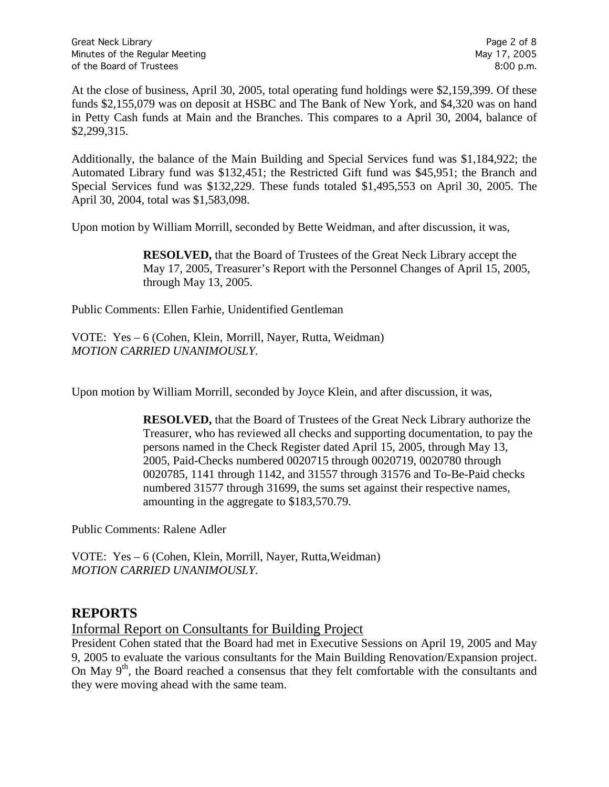At the close of business, April 30, 2005, total operating fund holdings were \$2,159,399. Of these funds \$2,155,079 was on deposit at HSBC and The Bank of New York, and \$4,320 was on hand in Petty Cash funds at Main and the Branches. This compares to a April 30, 2004, balance of \$2,299,315.

Additionally, the balance of the Main Building and Special Services fund was \$1,184,922; the Automated Library fund was \$132,451; the Restricted Gift fund was \$45,951; the Branch and Special Services fund was \$132,229. These funds totaled \$1,495,553 on April 30, 2005. The April 30, 2004, total was \$1,583,098.

Upon motion by William Morrill, seconded by Bette Weidman, and after discussion, it was,

**RESOLVED,** that the Board of Trustees of the Great Neck Library accept the May 17, 2005, Treasurer's Report with the Personnel Changes of April 15, 2005, through May 13, 2005.

Public Comments: Ellen Farhie, Unidentified Gentleman

VOTE:Yes – 6 (Cohen, Klein, Morrill, Nayer, Rutta, Weidman) *MOTION CARRIED UNANIMOUSLY.*

Upon motion by William Morrill, seconded by Joyce Klein, and after discussion, it was,

**RESOLVED,** that the Board of Trustees of the Great Neck Library authorize the Treasurer, who has reviewed all checks and supporting documentation, to pay the persons named in the Check Register dated April 15, 2005, through May 13, 2005, Paid-Checks numbered 0020715 through 0020719, 0020780 through 0020785, 1141 through 1142, and 31557 through 31576 and To-Be-Paid checks numbered 31577 through 31699, the sums set against their respective names, amounting in the aggregate to \$183,570.79.

Public Comments: Ralene Adler

VOTE:Yes – 6 (Cohen, Klein, Morrill, Nayer, Rutta,Weidman) *MOTION CARRIED UNANIMOUSLY.*

## **REPORTS**

Informal Report on Consultants for Building Project

President Cohen stated that the Board had met in Executive Sessions on April 19, 2005 and May 9, 2005 to evaluate the various consultants for the Main Building Renovation/Expansion project. On May  $9<sup>th</sup>$ , the Board reached a consensus that they felt comfortable with the consultants and they were moving ahead with the same team.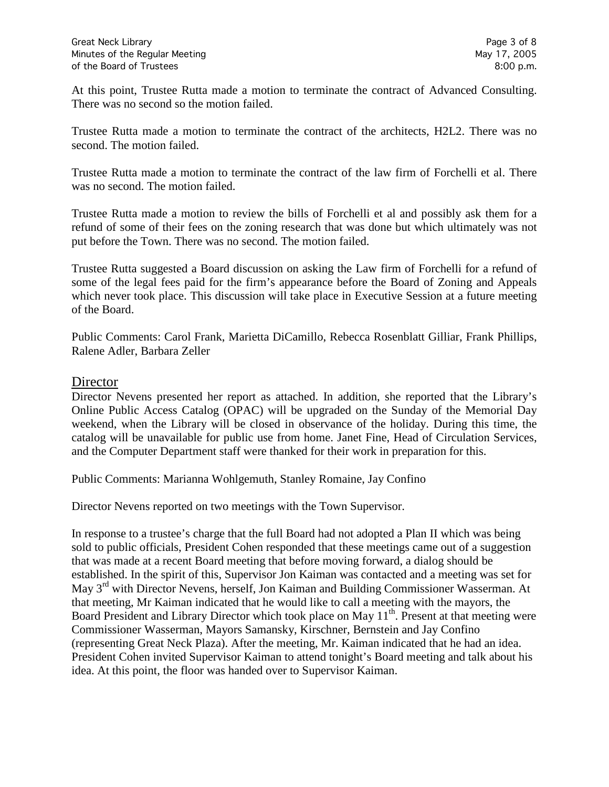At this point, Trustee Rutta made a motion to terminate the contract of Advanced Consulting. There was no second so the motion failed.

Trustee Rutta made a motion to terminate the contract of the architects, H2L2. There was no second. The motion failed.

Trustee Rutta made a motion to terminate the contract of the law firm of Forchelli et al. There was no second. The motion failed.

Trustee Rutta made a motion to review the bills of Forchelli et al and possibly ask them for a refund of some of their fees on the zoning research that was done but which ultimately was not put before the Town. There was no second. The motion failed.

Trustee Rutta suggested a Board discussion on asking the Law firm of Forchelli for a refund of some of the legal fees paid for the firm's appearance before the Board of Zoning and Appeals which never took place. This discussion will take place in Executive Session at a future meeting of the Board.

Public Comments: Carol Frank, Marietta DiCamillo, Rebecca Rosenblatt Gilliar, Frank Phillips, Ralene Adler, Barbara Zeller

#### **Director**

Director Nevens presented her report as attached. In addition, she reported that the Library's Online Public Access Catalog (OPAC) will be upgraded on the Sunday of the Memorial Day weekend, when the Library will be closed in observance of the holiday. During this time, the catalog will be unavailable for public use from home. Janet Fine, Head of Circulation Services, and the Computer Department staff were thanked for their work in preparation for this.

Public Comments: Marianna Wohlgemuth, Stanley Romaine, Jay Confino

Director Nevens reported on two meetings with the Town Supervisor.

In response to a trustee's charge that the full Board had not adopted a Plan II which was being sold to public officials, President Cohen responded that these meetings came out of a suggestion that was made at a recent Board meeting that before moving forward, a dialog should be established. In the spirit of this, Supervisor Jon Kaiman was contacted and a meeting was set for May 3rd with Director Nevens, herself, Jon Kaiman and Building Commissioner Wasserman. At that meeting, Mr Kaiman indicated that he would like to call a meeting with the mayors, the Board President and Library Director which took place on May  $11<sup>th</sup>$ . Present at that meeting were Commissioner Wasserman, Mayors Samansky, Kirschner, Bernstein and Jay Confino (representing Great Neck Plaza). After the meeting, Mr. Kaiman indicated that he had an idea. President Cohen invited Supervisor Kaiman to attend tonight's Board meeting and talk about his idea. At this point, the floor was handed over to Supervisor Kaiman.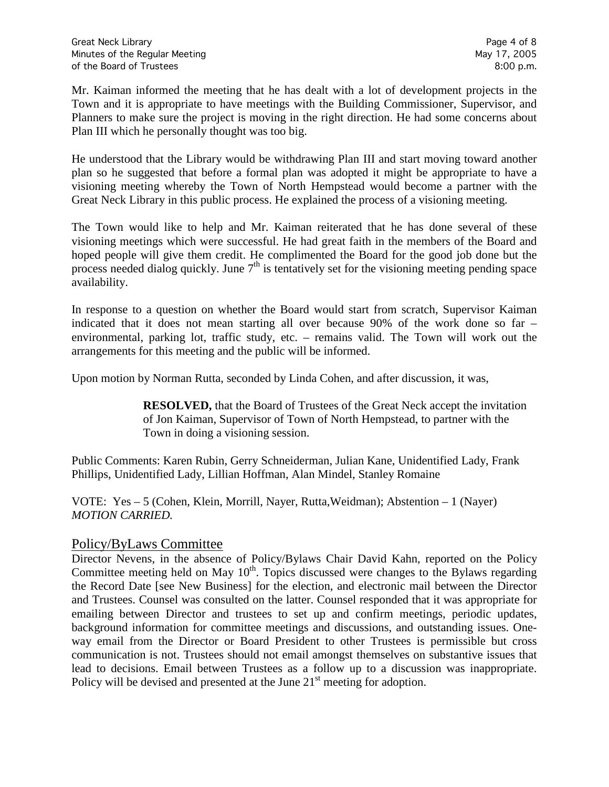Mr. Kaiman informed the meeting that he has dealt with a lot of development projects in the Town and it is appropriate to have meetings with the Building Commissioner, Supervisor, and Planners to make sure the project is moving in the right direction. He had some concerns about Plan III which he personally thought was too big.

He understood that the Library would be withdrawing Plan III and start moving toward another plan so he suggested that before a formal plan was adopted it might be appropriate to have a visioning meeting whereby the Town of North Hempstead would become a partner with the Great Neck Library in this public process. He explained the process of a visioning meeting.

The Town would like to help and Mr. Kaiman reiterated that he has done several of these visioning meetings which were successful. He had great faith in the members of the Board and hoped people will give them credit. He complimented the Board for the good job done but the process needed dialog quickly. June  $7<sup>th</sup>$  is tentatively set for the visioning meeting pending space availability.

In response to a question on whether the Board would start from scratch, Supervisor Kaiman indicated that it does not mean starting all over because 90% of the work done so far – environmental, parking lot, traffic study, etc. – remains valid. The Town will work out the arrangements for this meeting and the public will be informed.

Upon motion by Norman Rutta, seconded by Linda Cohen, and after discussion, it was,

**RESOLVED,** that the Board of Trustees of the Great Neck accept the invitation of Jon Kaiman, Supervisor of Town of North Hempstead, to partner with the Town in doing a visioning session.

Public Comments: Karen Rubin, Gerry Schneiderman, Julian Kane, Unidentified Lady, Frank Phillips, Unidentified Lady, Lillian Hoffman, Alan Mindel, Stanley Romaine

VOTE:Yes – 5 (Cohen, Klein, Morrill, Nayer, Rutta,Weidman); Abstention – 1 (Nayer) *MOTION CARRIED.*

## Policy/ByLaws Committee

Director Nevens, in the absence of Policy/Bylaws Chair David Kahn, reported on the Policy Committee meeting held on May  $10<sup>th</sup>$ . Topics discussed were changes to the Bylaws regarding the Record Date [see New Business] for the election, and electronic mail between the Director and Trustees. Counsel was consulted on the latter. Counsel responded that it was appropriate for emailing between Director and trustees to set up and confirm meetings, periodic updates, background information for committee meetings and discussions, and outstanding issues. Oneway email from the Director or Board President to other Trustees is permissible but cross communication is not. Trustees should not email amongst themselves on substantive issues that lead to decisions. Email between Trustees as a follow up to a discussion was inappropriate. Policy will be devised and presented at the June  $21<sup>st</sup>$  meeting for adoption.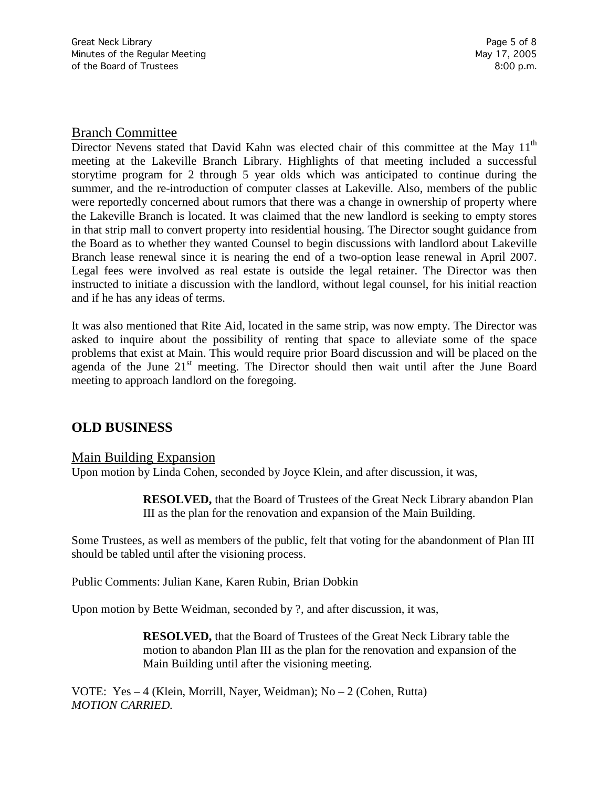#### Branch Committee

Director Nevens stated that David Kahn was elected chair of this committee at the May 11<sup>th</sup> meeting at the Lakeville Branch Library. Highlights of that meeting included a successful storytime program for 2 through 5 year olds which was anticipated to continue during the summer, and the re-introduction of computer classes at Lakeville. Also, members of the public were reportedly concerned about rumors that there was a change in ownership of property where the Lakeville Branch is located. It was claimed that the new landlord is seeking to empty stores in that strip mall to convert property into residential housing. The Director sought guidance from the Board as to whether they wanted Counsel to begin discussions with landlord about Lakeville Branch lease renewal since it is nearing the end of a two-option lease renewal in April 2007. Legal fees were involved as real estate is outside the legal retainer. The Director was then instructed to initiate a discussion with the landlord, without legal counsel, for his initial reaction and if he has any ideas of terms.

It was also mentioned that Rite Aid, located in the same strip, was now empty. The Director was asked to inquire about the possibility of renting that space to alleviate some of the space problems that exist at Main. This would require prior Board discussion and will be placed on the agenda of the June  $21<sup>st</sup>$  meeting. The Director should then wait until after the June Board meeting to approach landlord on the foregoing.

# **OLD BUSINESS**

#### Main Building Expansion

Upon motion by Linda Cohen, seconded by Joyce Klein, and after discussion, it was,

**RESOLVED,** that the Board of Trustees of the Great Neck Library abandon Plan III as the plan for the renovation and expansion of the Main Building.

Some Trustees, as well as members of the public, felt that voting for the abandonment of Plan III should be tabled until after the visioning process.

Public Comments: Julian Kane, Karen Rubin, Brian Dobkin

Upon motion by Bette Weidman, seconded by ?, and after discussion, it was,

**RESOLVED,** that the Board of Trustees of the Great Neck Library table the motion to abandon Plan III as the plan for the renovation and expansion of the Main Building until after the visioning meeting.

VOTE:Yes – 4 (Klein, Morrill, Nayer, Weidman); No – 2 (Cohen, Rutta) *MOTION CARRIED.*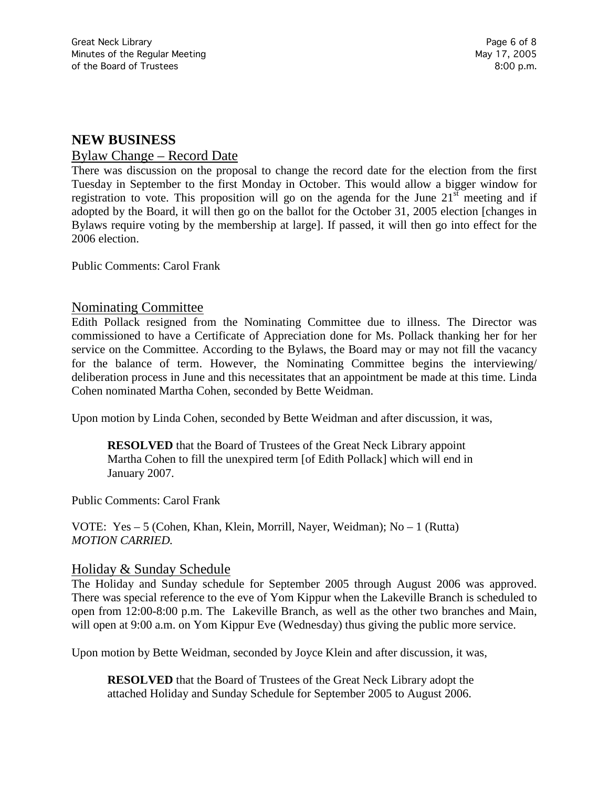### **NEW BUSINESS**

#### Bylaw Change – Record Date

There was discussion on the proposal to change the record date for the election from the first Tuesday in September to the first Monday in October. This would allow a bigger window for registration to vote. This proposition will go on the agenda for the June  $21<sup>st</sup>$  meeting and if adopted by the Board, it will then go on the ballot for the October 31, 2005 election [changes in Bylaws require voting by the membership at large]. If passed, it will then go into effect for the 2006 election.

Public Comments: Carol Frank

### Nominating Committee

Edith Pollack resigned from the Nominating Committee due to illness. The Director was commissioned to have a Certificate of Appreciation done for Ms. Pollack thanking her for her service on the Committee. According to the Bylaws, the Board may or may not fill the vacancy for the balance of term. However, the Nominating Committee begins the interviewing/ deliberation process in June and this necessitates that an appointment be made at this time. Linda Cohen nominated Martha Cohen, seconded by Bette Weidman.

Upon motion by Linda Cohen, seconded by Bette Weidman and after discussion, it was,

**RESOLVED** that the Board of Trustees of the Great Neck Library appoint Martha Cohen to fill the unexpired term [of Edith Pollack] which will end in January 2007.

Public Comments: Carol Frank

VOTE:Yes – 5 (Cohen, Khan, Klein, Morrill, Nayer, Weidman); No – 1 (Rutta) *MOTION CARRIED.*

#### Holiday & Sunday Schedule

The Holiday and Sunday schedule for September 2005 through August 2006 was approved. There was special reference to the eve of Yom Kippur when the Lakeville Branch is scheduled to open from 12:00-8:00 p.m. The Lakeville Branch, as well as the other two branches and Main, will open at 9:00 a.m. on Yom Kippur Eve (Wednesday) thus giving the public more service.

Upon motion by Bette Weidman, seconded by Joyce Klein and after discussion, it was,

**RESOLVED** that the Board of Trustees of the Great Neck Library adopt the attached Holiday and Sunday Schedule for September 2005 to August 2006.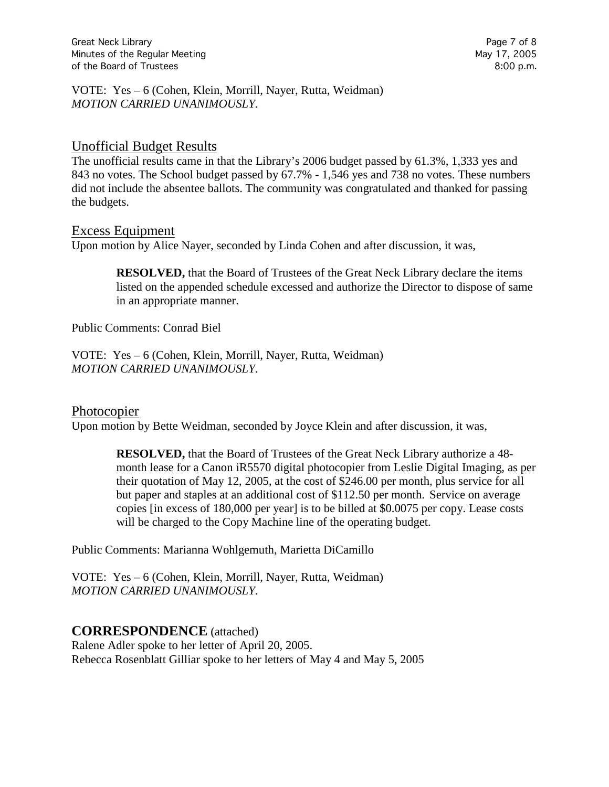Great Neck Library **Page 7 of 8** and 2011 12 and 2012 12 and 2012 12 and 2012 12 and 2012 12 and 2012 12 and 201 Minutes of the Regular Meeting May 17, 2005 of the Board of Trustees 8:00 p.m.

VOTE:Yes – 6 (Cohen, Klein, Morrill, Nayer, Rutta, Weidman) *MOTION CARRIED UNANIMOUSLY.*

#### Unofficial Budget Results

The unofficial results came in that the Library's 2006 budget passed by 61.3%, 1,333 yes and 843 no votes. The School budget passed by 67.7% - 1,546 yes and 738 no votes. These numbers did not include the absentee ballots. The community was congratulated and thanked for passing the budgets.

#### Excess Equipment

Upon motion by Alice Nayer, seconded by Linda Cohen and after discussion, it was,

**RESOLVED,** that the Board of Trustees of the Great Neck Library declare the items listed on the appended schedule excessed and authorize the Director to dispose of same in an appropriate manner.

Public Comments: Conrad Biel

VOTE:Yes – 6 (Cohen, Klein, Morrill, Nayer, Rutta, Weidman) *MOTION CARRIED UNANIMOUSLY.*

#### Photocopier

Upon motion by Bette Weidman, seconded by Joyce Klein and after discussion, it was,

**RESOLVED,** that the Board of Trustees of the Great Neck Library authorize a 48 month lease for a Canon iR5570 digital photocopier from Leslie Digital Imaging, as per their quotation of May 12, 2005, at the cost of \$246.00 per month, plus service for all but paper and staples at an additional cost of \$112.50 per month. Service on average copies [in excess of 180,000 per year] is to be billed at \$0.0075 per copy. Lease costs will be charged to the Copy Machine line of the operating budget.

Public Comments: Marianna Wohlgemuth, Marietta DiCamillo

VOTE:Yes – 6 (Cohen, Klein, Morrill, Nayer, Rutta, Weidman) *MOTION CARRIED UNANIMOUSLY.*

#### **CORRESPONDENCE** (attached)

Ralene Adler spoke to her letter of April 20, 2005. Rebecca Rosenblatt Gilliar spoke to her letters of May 4 and May 5, 2005